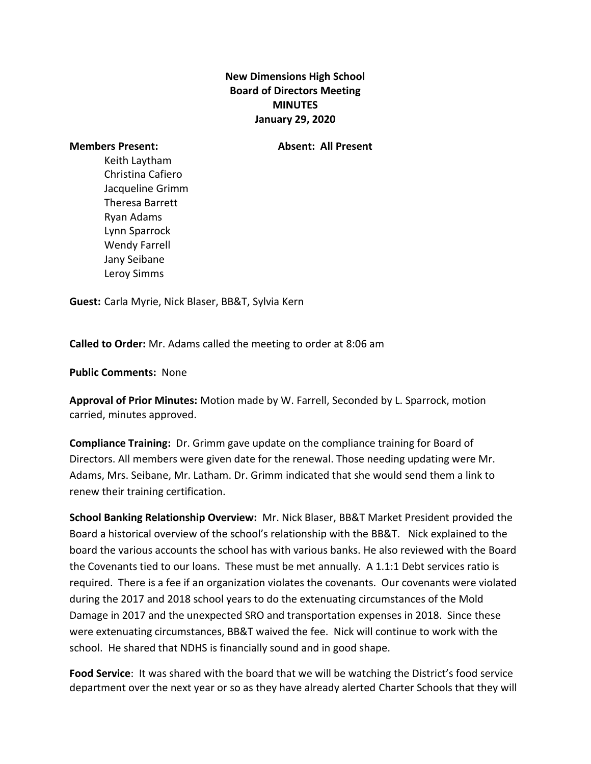## **New Dimensions High School Board of Directors Meeting MINUTES January 29, 2020**

**Members Present: Absent: All Present**

Keith Laytham Christina Cafiero Jacqueline Grimm Theresa Barrett Ryan Adams Lynn Sparrock Wendy Farrell Jany Seibane Leroy Simms

**Guest:** Carla Myrie, Nick Blaser, BB&T, Sylvia Kern

**Called to Order:** Mr. Adams called the meeting to order at 8:06 am

**Public Comments:** None

**Approval of Prior Minutes:** Motion made by W. Farrell, Seconded by L. Sparrock, motion carried, minutes approved.

**Compliance Training:** Dr. Grimm gave update on the compliance training for Board of Directors. All members were given date for the renewal. Those needing updating were Mr. Adams, Mrs. Seibane, Mr. Latham. Dr. Grimm indicated that she would send them a link to renew their training certification.

**School Banking Relationship Overview:** Mr. Nick Blaser, BB&T Market President provided the Board a historical overview of the school's relationship with the BB&T. Nick explained to the board the various accounts the school has with various banks. He also reviewed with the Board the Covenants tied to our loans. These must be met annually. A 1.1:1 Debt services ratio is required. There is a fee if an organization violates the covenants. Our covenants were violated during the 2017 and 2018 school years to do the extenuating circumstances of the Mold Damage in 2017 and the unexpected SRO and transportation expenses in 2018. Since these were extenuating circumstances, BB&T waived the fee. Nick will continue to work with the school. He shared that NDHS is financially sound and in good shape.

**Food Service**: It was shared with the board that we will be watching the District's food service department over the next year or so as they have already alerted Charter Schools that they will